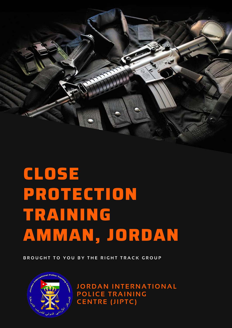

# **CLOSE PROTECTION TRAINING AMMAN, JORDAN**

BROUGHT TO YOU BY THE RIGHT TRACK GROUP



**JOR DAN INTERNAT IONAL POL ICE TRAINING CENTRE (JIPTC)**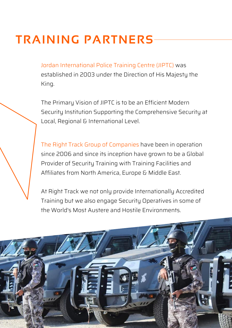# **TRAINING PARTNERS**

Jordan International Police Training Centre (JIPTC) was established in 2003 under the Direction of His Majesty the King.

The Primary Vision of JIPTC is to be an Efficient Modern Security Institution Supporting the Comprehensive Security at Local, Regional & International Level.

The Right Track Group of Companies have been in operation since 2006 and since its inception have grown to be a Global Provider of Security Training with Training Facilities and Affiliates from North America, Europe & Middle East.

At Right Track we not only provide Internationally Accredited Training but we also engage Security Operatives in some of the World's Most Austere and Hostile Environments.

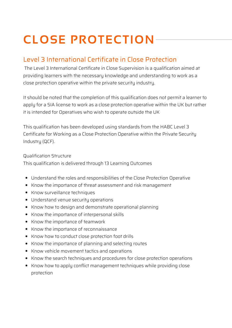# **CLOSE PROTECTION**

#### Level 3 International Certificate in Close Protection

The Level 3 International Certificate in Close Supervision is a qualification aimed at providing learners with the necessary knowledge and understanding to work as a close protection operative within the private security industry.

It should be noted that the completion of this qualification does not permit a learner to apply for a SIA license to work as a close protection operative within the UK but rather it is intended for Operatives who wish to operate outside the UK

This qualification has been developed using standards from the HABC Level 3 Certificate for Working as a Close Protection Operative within the Private Security Industry (QCF).

#### Qualification Structure

This qualification is delivered through 13 Learning Outcomes

- Understand the roles and responsibilities of the Close Protection Operative
- Know the importance of threat assessment and risk management
- Know surveillance techniques
- Understand venue security operations
- Know how to design and demonstrate operational planning
- Know the importance of interpersonal skills
- Know the importance of teamwork
- Know the importance of reconnaissance
- Know how to conduct close protection foot drills
- Know the importance of planning and selecting routes
- Know vehicle movement tactics and operations
- Know the search techniques and procedures for close protection operations
- Know how to apply conflict management techniques while providing close protection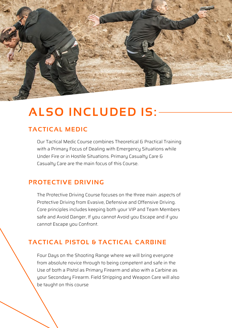

### **ALSO INCLUDED IS:**

#### **TACTICAL MEDIC**

Our Tactical Medic Course combines Theoretical & Practical Training with a Primary Focus of Dealing with Emergency Situations while Under Fire or in Hostile Situations. Primary Casualty Care & Casualty Care are the main focus of this Course.

#### **PROTECTIVE DRIVING**

The Protective Driving Course focuses on the three main .aspects of Protective Driving from Evasive, Defensive and Offensive Driving. Core principles includes keeping both your VIP and Team Members safe and Avoid Danger, If you cannot Avoid you Escape and if you cannot Escape you Confront.

#### **TACTICAL PISTOL & TACTICAL CARBINE**

Four Days on the Shooting Range where we will bring everyone from absolute novice through to being competent and safe in the Use of both a Pistol as Primary Firearm and also with a Carbine as your Secondary Firearm. Field Stripping and Weapon Care will also be taught on this course